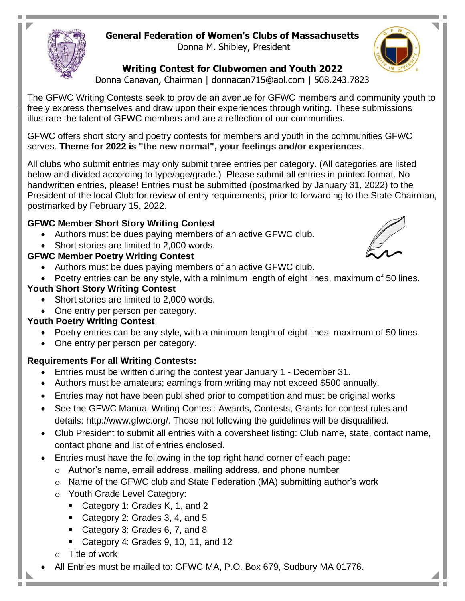# **General Federation of Women's Clubs of Massachusetts**

Donna M. Shibley, President

#### **Writing Contest for Clubwomen and Youth 2022**

Donna Canavan, Chairman | donnacan715@aol.com | 508.243.7823

The GFWC Writing Contests seek to provide an avenue for GFWC members and community youth to freely express themselves and draw upon their experiences through writing. These submissions illustrate the talent of GFWC members and are a reflection of our communities.

GFWC offers short story and poetry contests for members and youth in the communities GFWC serves. **Theme for 2022 is "the new normal", your feelings and/or experiences**.

All clubs who submit entries may only submit three entries per category. (All categories are listed below and divided according to type/age/grade.) Please submit all entries in printed format. No handwritten entries, please! Entries must be submitted (postmarked by January 31, 2022) to the President of the local Club for review of entry requirements, prior to forwarding to the State Chairman, postmarked by February 15, 2022.

### **GFWC Member Short Story Writing Contest**

- Authors must be dues paying members of an active GFWC club.
- Short stories are limited to 2,000 words.

### **GFWC Member Poetry Writing Contest**

- Authors must be dues paying members of an active GFWC club.
- Poetry entries can be any style, with a minimum length of eight lines, maximum of 50 lines.

#### **Youth Short Story Writing Contest**

- Short stories are limited to 2,000 words.
- One entry per person per category.

## **Youth Poetry Writing Contest**

- Poetry entries can be any style, with a minimum length of eight lines, maximum of 50 lines.
- One entry per person per category.

#### **Requirements For all Writing Contests:**

- Entries must be written during the contest year January 1 December 31.
- Authors must be amateurs; earnings from writing may not exceed \$500 annually.
- Entries may not have been published prior to competition and must be original works
- See the GFWC Manual Writing Contest: Awards, Contests, Grants for contest rules and details: http://www.gfwc.org/. Those not following the guidelines will be disqualified.
- Club President to submit all entries with a coversheet listing: Club name, state, contact name, contact phone and list of entries enclosed.
- Entries must have the following in the top right hand corner of each page:
	- o Author's name, email address, mailing address, and phone number
	- o Name of the GFWC club and State Federation (MA) submitting author's work
	- o Youth Grade Level Category:
		- Category 1: Grades K, 1, and 2
		- Category 2: Grades 3, 4, and 5
		- Category 3: Grades 6, 7, and 8
		- Category 4: Grades 9, 10, 11, and 12
	- o Title of work
- All Entries must be mailed to: GFWC MA, P.O. Box 679, Sudbury MA 01776.